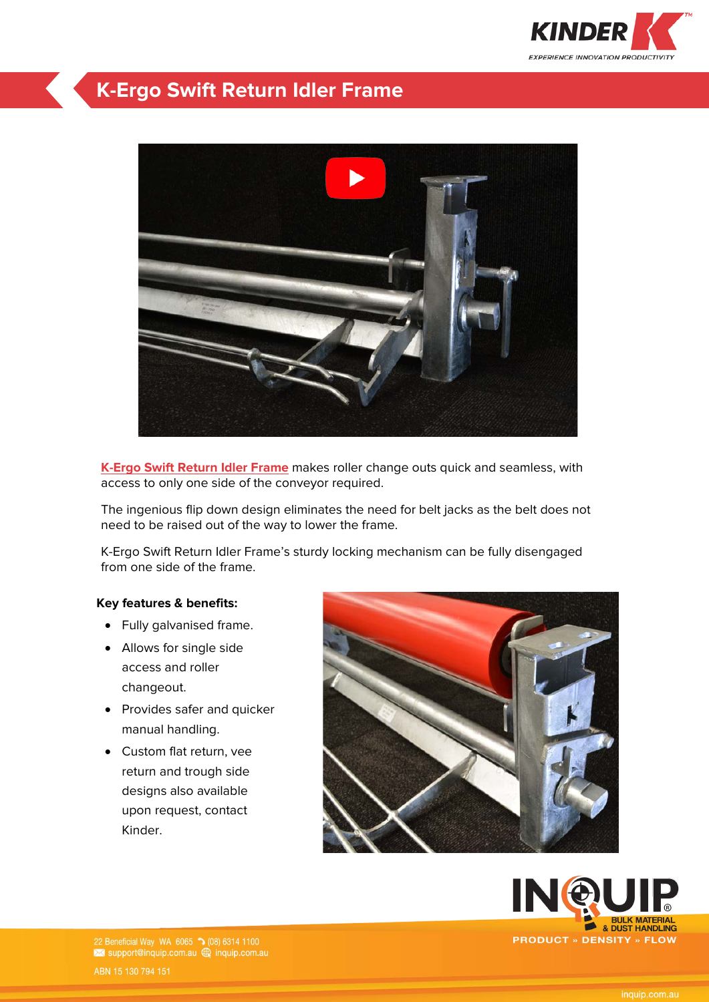

## **K-Ergo Swift Return Idler Frame**



**[K-Ergo Swift Return Idler Frame](https://kinder.com.au/products/k-ergo-swift-return-idler-frame/)** makes roller change outs quick and seamless, with access to only one side of the conveyor required.

The ingenious flip down design eliminates the need for belt jacks as the belt does not need to be raised out of the way to lower the frame.

K-Ergo Swift Return Idler Frame's sturdy locking mechanism can be fully disengaged from one side of the frame.

## **Key features & benefits:**

- Fully galvanised frame.
- Allows for single side access and roller changeout.
- Provides safer and quicker manual handling.
- Custom flat return, vee return and trough side designs also available upon request, contact Kinder.